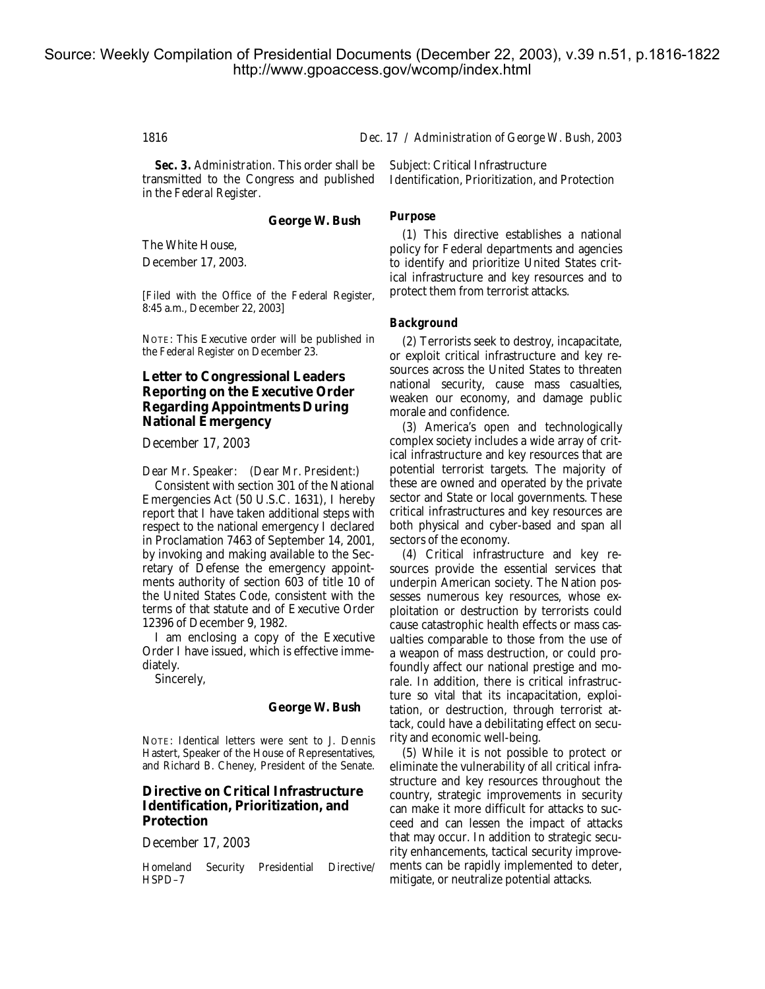1816 *Dec. 17 / Administration of George W. Bush, 2003* 

*Sec. 3. Administration.* This order shall be transmitted to the Congress and published in the *Federal Register.* 

**George W. Bush** 

The White House,

December 17, 2003.

[Filed with the Office of the Federal Register, 8:45 a.m., December 22, 2003]

NOTE: This Executive order will be published in the *Federal Register* on December 23.

# **Letter to Congressional Leaders Reporting on the Executive Order Regarding Appointments During National Emergency**

*December 17, 2003* 

*Dear Mr. Speaker: (Dear Mr. President:)* 

Consistent with section 301 of the National Emergencies Act (50 U.S.C. 1631), I hereby report that I have taken additional steps with respect to the national emergency I declared in Proclamation 7463 of September 14, 2001, by invoking and making available to the Secretary of Defense the emergency appointments authority of section 603 of title 10 of the United States Code, consistent with the terms of that statute and of Executive Order 12396 of December 9, 1982.

I am enclosing a copy of the Executive Order I have issued, which is effective immediately.

Sincerely,

### **George W. Bush**

NOTE: Identical letters were sent to J. Dennis Hastert, Speaker of the House of Representatives, and Richard B. Cheney, President of the Senate.

# **Directive on Critical Infrastructure Identification, Prioritization, and Protection**

*December 17, 2003* 

Homeland Security Presidential Directive/ HSPD–7

*Subject:* Critical Infrastructure Identification, Prioritization, and Protection

### *Purpose*

(1) This directive establishes a national policy for Federal departments and agencies to identify and prioritize United States critical infrastructure and key resources and to protect them from terrorist attacks.

### *Background*

(2) Terrorists seek to destroy, incapacitate, or exploit critical infrastructure and key resources across the United States to threaten national security, cause mass casualties, weaken our economy, and damage public morale and confidence.

(3) America's open and technologically complex society includes a wide array of critical infrastructure and key resources that are potential terrorist targets. The majority of these are owned and operated by the private sector and State or local governments. These critical infrastructures and key resources are both physical and cyber-based and span all sectors of the economy.

(4) Critical infrastructure and key resources provide the essential services that underpin American society. The Nation possesses numerous key resources, whose exploitation or destruction by terrorists could cause catastrophic health effects or mass casualties comparable to those from the use of a weapon of mass destruction, or could profoundly affect our national prestige and morale. In addition, there is critical infrastructure so vital that its incapacitation, exploitation, or destruction, through terrorist attack, could have a debilitating effect on security and economic well-being.

(5) While it is not possible to protect or eliminate the vulnerability of all critical infrastructure and key resources throughout the country, strategic improvements in security can make it more difficult for attacks to succeed and can lessen the impact of attacks that may occur. In addition to strategic security enhancements, tactical security improvements can be rapidly implemented to deter, mitigate, or neutralize potential attacks.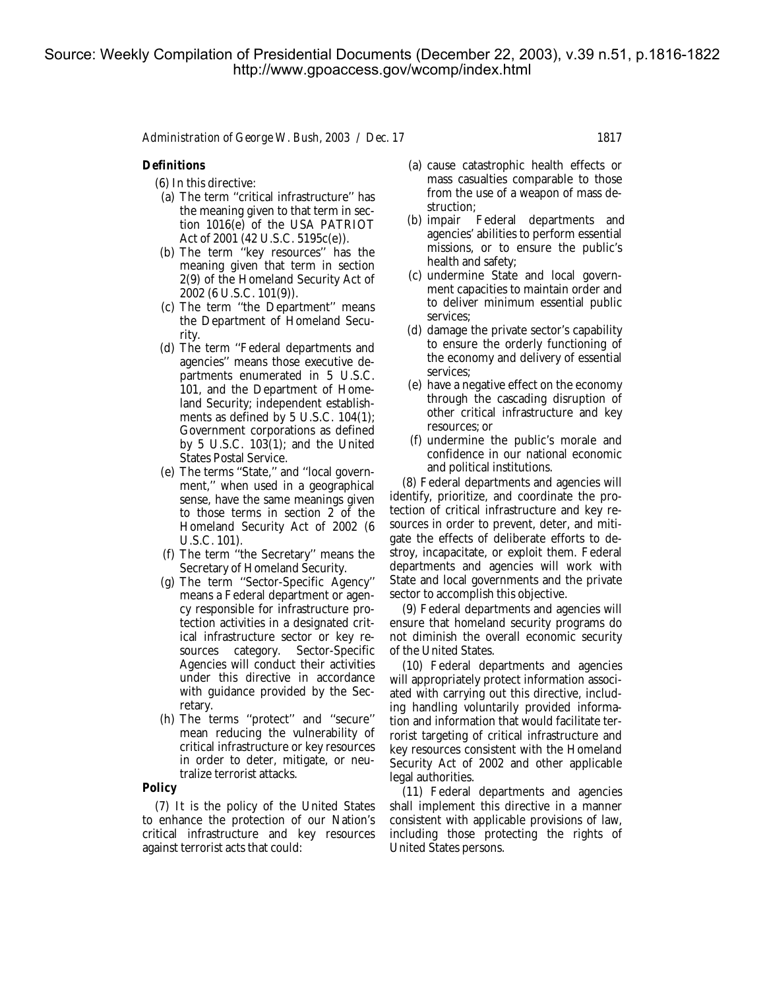*Administration of George W. Bush, 2003 / Dec. 17* 1817

### *Definitions*

- (6) In this directive:
- (a) The term ''critical infrastructure'' has the meaning given to that term in section 1016(e) of the USA PATRIOT Act of 2001 (42 U.S.C. 5195c(e)).
- (b) The term ''key resources'' has the meaning given that term in section 2(9) of the Homeland Security Act of 2002 (6 U.S.C. 101(9)).
- (c) The term ''the Department'' means the Department of Homeland Security.
- (d) The term ''Federal departments and agencies'' means those executive departments enumerated in 5 U.S.C. 101, and the Department of Homeland Security; independent establishments as defined by 5 U.S.C. 104(1); Government corporations as defined by 5 U.S.C. 103(1); and the United States Postal Service.
- (e) The terms ''State,'' and ''local government,'' when used in a geographical sense, have the same meanings given to those terms in section 2 of the Homeland Security Act of 2002 (6 U.S.C. 101).
- (f) The term ''the Secretary'' means the Secretary of Homeland Security.
- (g) The term ''Sector-Specific Agency'' means a Federal department or agency responsible for infrastructure protection activities in a designated critical infrastructure sector or key resources category. Sector-Specific Agencies will conduct their activities under this directive in accordance with guidance provided by the Secretary.
- (h) The terms ''protect'' and ''secure'' mean reducing the vulnerability of critical infrastructure or key resources in order to deter, mitigate, or neutralize terrorist attacks.

# *Policy*

(7) It is the policy of the United States to enhance the protection of our Nation's critical infrastructure and key resources against terrorist acts that could:

- (a) cause catastrophic health effects or mass casualties comparable to those from the use of a weapon of mass destruction;<br>(b) impair
- Federal departments and agencies' abilities to perform essential missions, or to ensure the public's health and safety;
- (c) undermine State and local government capacities to maintain order and to deliver minimum essential public services;
- (d) damage the private sector's capability to ensure the orderly functioning of the economy and delivery of essential services;
- (e) have a negative effect on the economy through the cascading disruption of other critical infrastructure and key resources; or
- (f) undermine the public's morale and confidence in our national economic and political institutions.

(8) Federal departments and agencies will identify, prioritize, and coordinate the protection of critical infrastructure and key resources in order to prevent, deter, and mitigate the effects of deliberate efforts to destroy, incapacitate, or exploit them. Federal departments and agencies will work with State and local governments and the private sector to accomplish this objective.

(9) Federal departments and agencies will ensure that homeland security programs do not diminish the overall economic security of the United States.

(10) Federal departments and agencies will appropriately protect information associated with carrying out this directive, including handling voluntarily provided information and information that would facilitate terrorist targeting of critical infrastructure and key resources consistent with the Homeland Security Act of 2002 and other applicable legal authorities.

(11) Federal departments and agencies shall implement this directive in a manner consistent with applicable provisions of law, including those protecting the rights of United States persons.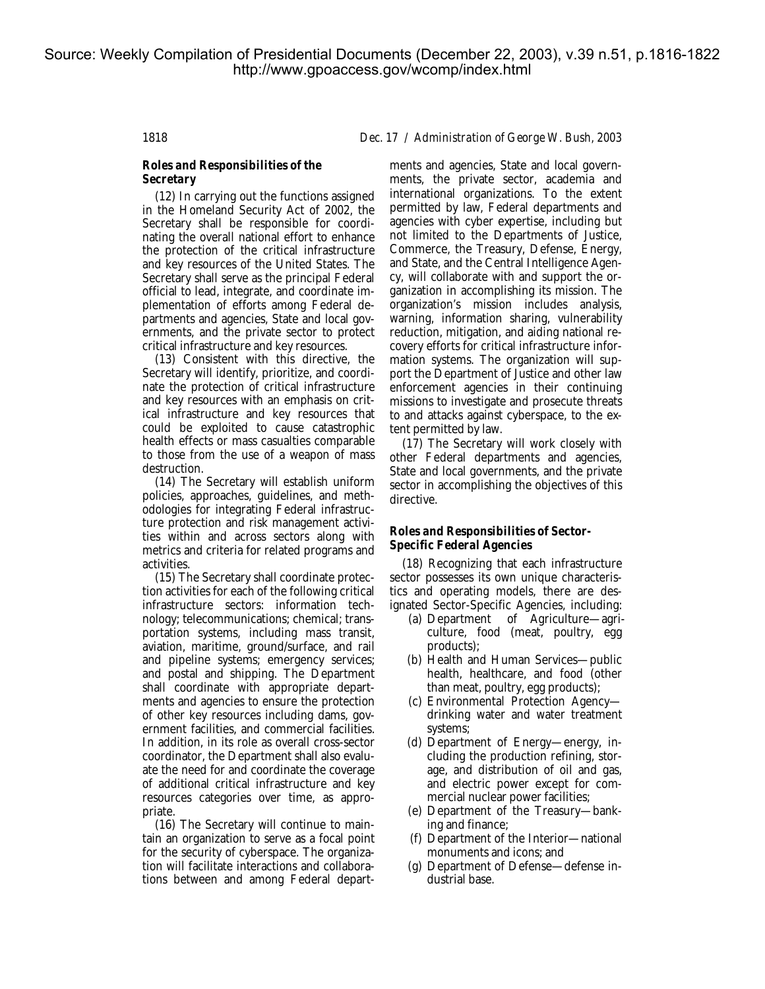# 1818 *Dec. 17 / Administration of George W. Bush, 2003*

#### *Roles and Responsibilities of the Secretary*

(12) In carrying out the functions assigned in the Homeland Security Act of 2002, the Secretary shall be responsible for coordinating the overall national effort to enhance the protection of the critical infrastructure and key resources of the United States. The Secretary shall serve as the principal Federal official to lead, integrate, and coordinate implementation of efforts among Federal departments and agencies, State and local governments, and the private sector to protect critical infrastructure and key resources.

(13) Consistent with this directive, the Secretary will identify, prioritize, and coordinate the protection of critical infrastructure and key resources with an emphasis on critical infrastructure and key resources that could be exploited to cause catastrophic health effects or mass casualties comparable to those from the use of a weapon of mass destruction.

(14) The Secretary will establish uniform policies, approaches, guidelines, and methodologies for integrating Federal infrastructure protection and risk management activities within and across sectors along with metrics and criteria for related programs and activities.

(15) The Secretary shall coordinate protection activities for each of the following critical infrastructure sectors: information technology; telecommunications; chemical; transportation systems, including mass transit, aviation, maritime, ground/surface, and rail and pipeline systems; emergency services; and postal and shipping. The Department shall coordinate with appropriate departments and agencies to ensure the protection of other key resources including dams, government facilities, and commercial facilities. In addition, in its role as overall cross-sector coordinator, the Department shall also evaluate the need for and coordinate the coverage of additional critical infrastructure and key resources categories over time, as appropriate.

(16) The Secretary will continue to maintain an organization to serve as a focal point for the security of cyberspace. The organization will facilitate interactions and collaborations between and among Federal depart-

ments and agencies, State and local governments, the private sector, academia and international organizations. To the extent permitted by law, Federal departments and agencies with cyber expertise, including but not limited to the Departments of Justice, Commerce, the Treasury, Defense, Energy, and State, and the Central Intelligence Agency, will collaborate with and support the organization in accomplishing its mission. The organization's mission includes analysis, warning, information sharing, vulnerability reduction, mitigation, and aiding national recovery efforts for critical infrastructure information systems. The organization will support the Department of Justice and other law enforcement agencies in their continuing missions to investigate and prosecute threats to and attacks against cyberspace, to the extent permitted by law.

(17) The Secretary will work closely with other Federal departments and agencies, State and local governments, and the private sector in accomplishing the objectives of this directive.

## *Roles and Responsibilities of Sector-Specific Federal Agencies*

(18) Recognizing that each infrastructure sector possesses its own unique characteristics and operating models, there are designated Sector-Specific Agencies, including:

- (a) Department of Agriculture—agriculture, food (meat, poultry, egg products);
- (b) Health and Human Services—public health, healthcare, and food (other than meat, poultry, egg products);
- (c) Environmental Protection Agency drinking water and water treatment systems;
- (d) Department of Energy—energy, including the production refining, storage, and distribution of oil and gas, and electric power except for commercial nuclear power facilities;
- (e) Department of the Treasury—banking and finance;
- (f) Department of the Interior—national monuments and icons; and
- (g) Department of Defense—defense industrial base.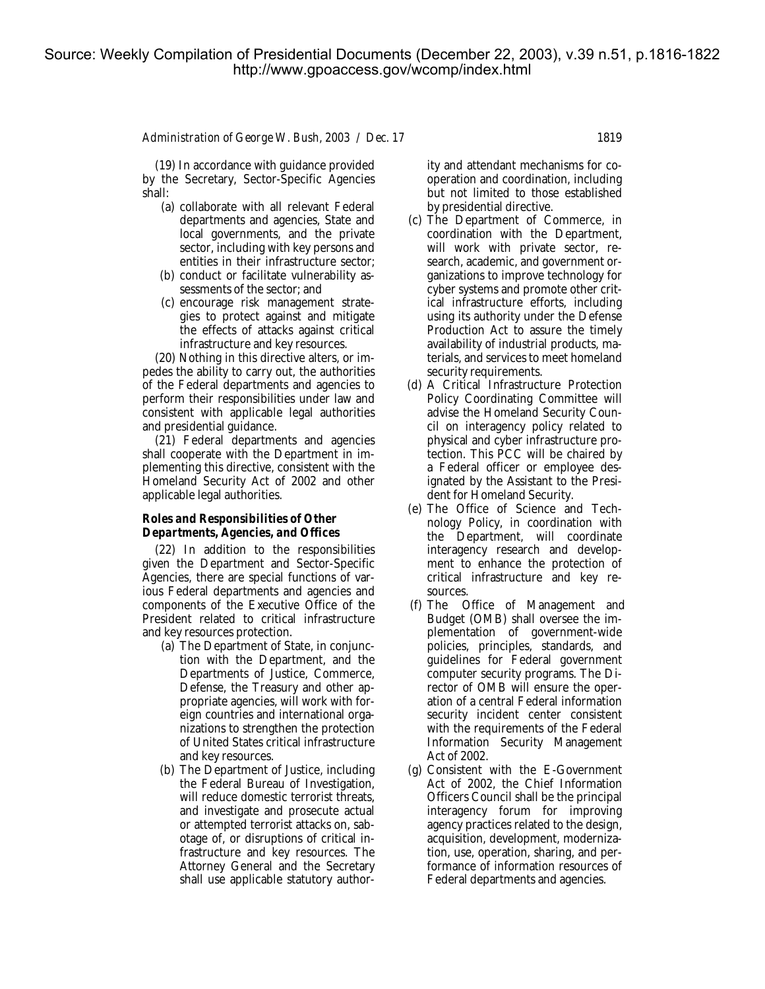#### *Administration of George W. Bush, 2003 / Dec. 17* 1819

(19) In accordance with guidance provided by the Secretary, Sector-Specific Agencies shall:

- (a) collaborate with all relevant Federal departments and agencies, State and local governments, and the private sector, including with key persons and entities in their infrastructure sector;
- (b) conduct or facilitate vulnerability assessments of the sector; and
- (c) encourage risk management strategies to protect against and mitigate the effects of attacks against critical infrastructure and key resources.

(20) Nothing in this directive alters, or impedes the ability to carry out, the authorities of the Federal departments and agencies to perform their responsibilities under law and consistent with applicable legal authorities and presidential guidance.

(21) Federal departments and agencies shall cooperate with the Department in implementing this directive, consistent with the Homeland Security Act of 2002 and other applicable legal authorities.

### *Roles and Responsibilities of Other Departments, Agencies, and Offices*

(22) In addition to the responsibilities given the Department and Sector-Specific Agencies, there are special functions of various Federal departments and agencies and components of the Executive Office of the President related to critical infrastructure and key resources protection.

- (a) The Department of State, in conjunction with the Department, and the Departments of Justice, Commerce, Defense, the Treasury and other appropriate agencies, will work with foreign countries and international organizations to strengthen the protection of United States critical infrastructure and key resources.
- (b) The Department of Justice, including the Federal Bureau of Investigation, will reduce domestic terrorist threats, and investigate and prosecute actual or attempted terrorist attacks on, sabotage of, or disruptions of critical infrastructure and key resources. The Attorney General and the Secretary shall use applicable statutory author-

ity and attendant mechanisms for cooperation and coordination, including but not limited to those established by presidential directive.

- (c) The Department of Commerce, in coordination with the Department, will work with private sector, research, academic, and government organizations to improve technology for cyber systems and promote other critical infrastructure efforts, including using its authority under the Defense Production Act to assure the timely availability of industrial products, materials, and services to meet homeland security requirements.
- (d) A Critical Infrastructure Protection Policy Coordinating Committee will advise the Homeland Security Council on interagency policy related to physical and cyber infrastructure protection. This PCC will be chaired by a Federal officer or employee designated by the Assistant to the President for Homeland Security.
- (e) The Office of Science and Technology Policy, in coordination with the Department, will coordinate interagency research and development to enhance the protection of critical infrastructure and key resources.
- (f) The Office of Management and Budget (OMB) shall oversee the implementation of government-wide policies, principles, standards, and guidelines for Federal government computer security programs. The Director of OMB will ensure the operation of a central Federal information security incident center consistent with the requirements of the Federal Information Security Management Act of 2002.
- (g) Consistent with the E-Government Act of 2002, the Chief Information Officers Council shall be the principal interagency forum for improving agency practices related to the design, acquisition, development, modernization, use, operation, sharing, and performance of information resources of Federal departments and agencies.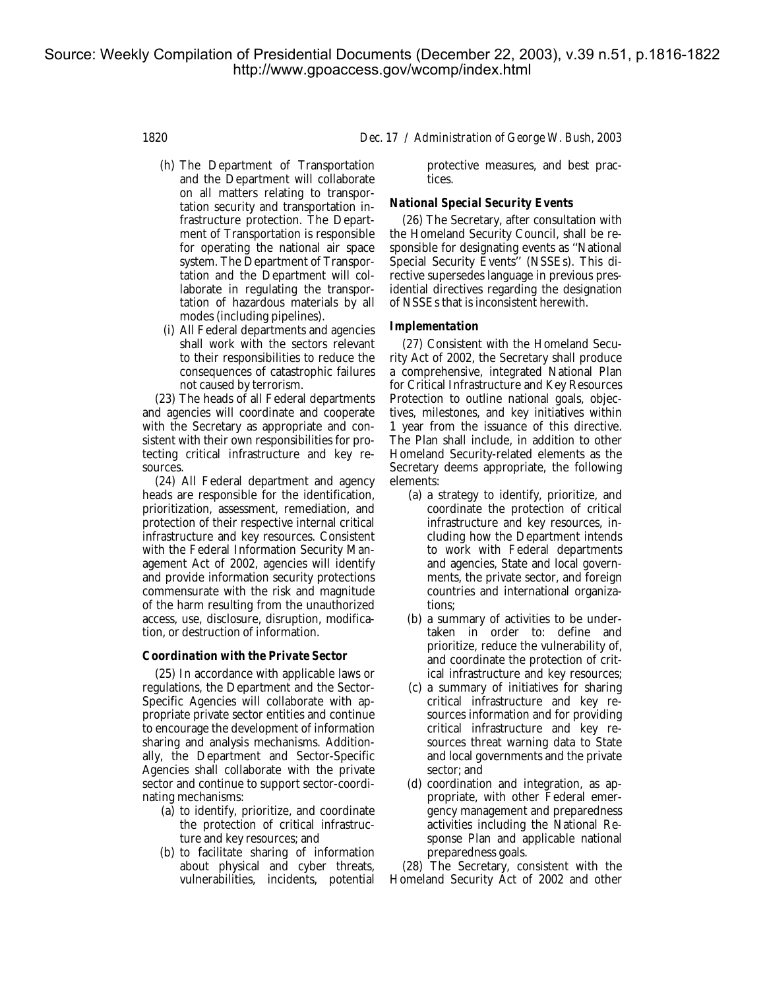- (h) The Department of Transportation and the Department will collaborate on all matters relating to transportation security and transportation infrastructure protection. The Department of Transportation is responsible for operating the national air space system. The Department of Transportation and the Department will collaborate in regulating the transportation of hazardous materials by all modes (including pipelines).
- (i) All Federal departments and agencies shall work with the sectors relevant to their responsibilities to reduce the consequences of catastrophic failures not caused by terrorism.

(23) The heads of all Federal departments and agencies will coordinate and cooperate with the Secretary as appropriate and consistent with their own responsibilities for protecting critical infrastructure and key resources.

(24) All Federal department and agency heads are responsible for the identification, prioritization, assessment, remediation, and protection of their respective internal critical infrastructure and key resources. Consistent with the Federal Information Security Management Act of 2002, agencies will identify and provide information security protections commensurate with the risk and magnitude of the harm resulting from the unauthorized access, use, disclosure, disruption, modification, or destruction of information.

# *Coordination with the Private Sector*

(25) In accordance with applicable laws or regulations, the Department and the Sector-Specific Agencies will collaborate with appropriate private sector entities and continue to encourage the development of information sharing and analysis mechanisms. Additionally, the Department and Sector-Specific Agencies shall collaborate with the private sector and continue to support sector-coordinating mechanisms:

- (a) to identify, prioritize, and coordinate the protection of critical infrastructure and key resources; and
- (b) to facilitate sharing of information about physical and cyber threats, vulnerabilities, incidents, potential

1820 *Dec. 17 / Administration of George W. Bush, 2003* 

protective measures, and best practices.

# *National Special Security Events*

(26) The Secretary, after consultation with the Homeland Security Council, shall be responsible for designating events as ''National Special Security Events'' (NSSEs). This directive supersedes language in previous presidential directives regarding the designation of NSSEs that is inconsistent herewith.

# *Implementation*

(27) Consistent with the Homeland Security Act of 2002, the Secretary shall produce a comprehensive, integrated National Plan for Critical Infrastructure and Key Resources Protection to outline national goals, objectives, milestones, and key initiatives within 1 year from the issuance of this directive. The Plan shall include, in addition to other Homeland Security-related elements as the Secretary deems appropriate, the following elements:

- (a) a strategy to identify, prioritize, and coordinate the protection of critical infrastructure and key resources, including how the Department intends to work with Federal departments and agencies, State and local governments, the private sector, and foreign countries and international organizations;
- (b) a summary of activities to be undertaken in order to: define and prioritize, reduce the vulnerability of, and coordinate the protection of critical infrastructure and key resources;
- (c) a summary of initiatives for sharing critical infrastructure and key resources information and for providing critical infrastructure and key resources threat warning data to State and local governments and the private sector; and
- (d) coordination and integration, as appropriate, with other Federal emergency management and preparedness activities including the National Response Plan and applicable national preparedness goals.

(28) The Secretary, consistent with the Homeland Security Act of 2002 and other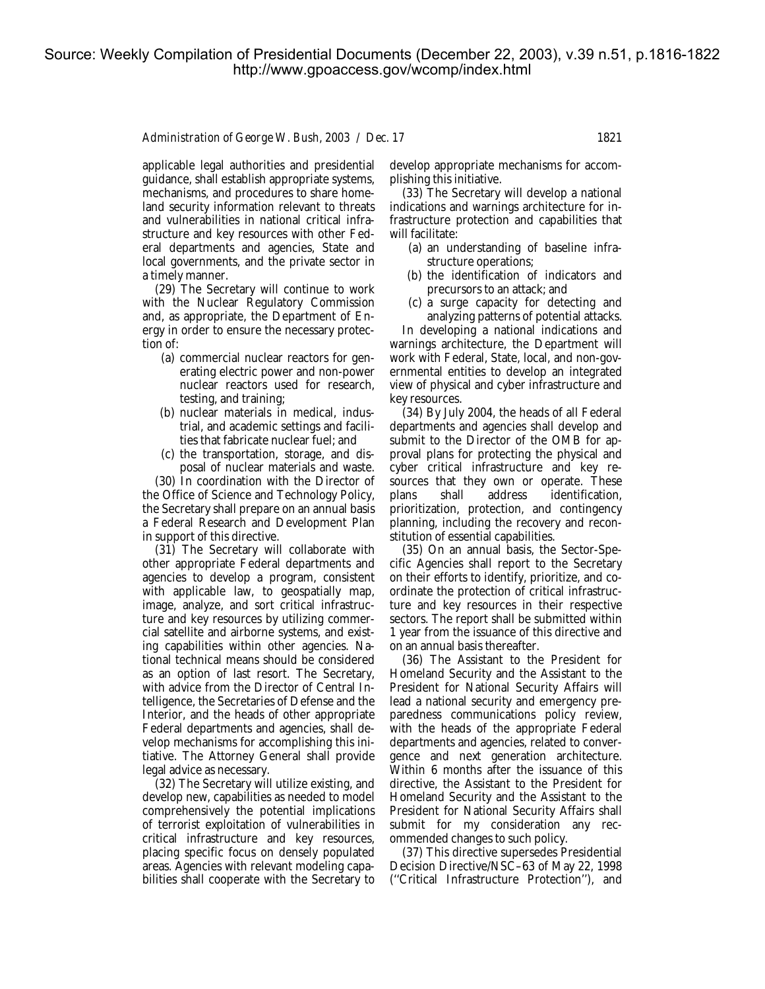#### *Administration of George W. Bush, 2003 / Dec. 17* 1821

applicable legal authorities and presidential guidance, shall establish appropriate systems, mechanisms, and procedures to share homeland security information relevant to threats and vulnerabilities in national critical infrastructure and key resources with other Federal departments and agencies, State and local governments, and the private sector in a timely manner.

(29) The Secretary will continue to work with the Nuclear Regulatory Commission and, as appropriate, the Department of Energy in order to ensure the necessary protection of:

- (a) commercial nuclear reactors for generating electric power and non-power nuclear reactors used for research, testing, and training;
- (b) nuclear materials in medical, industrial, and academic settings and facilities that fabricate nuclear fuel; and
- (c) the transportation, storage, and disposal of nuclear materials and waste.

(30) In coordination with the Director of the Office of Science and Technology Policy, the Secretary shall prepare on an annual basis a Federal Research and Development Plan in support of this directive.

(31) The Secretary will collaborate with other appropriate Federal departments and agencies to develop a program, consistent with applicable law, to geospatially map, image, analyze, and sort critical infrastructure and key resources by utilizing commercial satellite and airborne systems, and existing capabilities within other agencies. National technical means should be considered as an option of last resort. The Secretary, with advice from the Director of Central Intelligence, the Secretaries of Defense and the Interior, and the heads of other appropriate Federal departments and agencies, shall develop mechanisms for accomplishing this initiative. The Attorney General shall provide legal advice as necessary.

(32) The Secretary will utilize existing, and develop new, capabilities as needed to model comprehensively the potential implications of terrorist exploitation of vulnerabilities in critical infrastructure and key resources, placing specific focus on densely populated areas. Agencies with relevant modeling capabilities shall cooperate with the Secretary to develop appropriate mechanisms for accomplishing this initiative.

(33) The Secretary will develop a national indications and warnings architecture for infrastructure protection and capabilities that will facilitate:

- (a) an understanding of baseline infrastructure operations;
- (b) the identification of indicators and precursors to an attack; and
- (c) a surge capacity for detecting and analyzing patterns of potential attacks.

In developing a national indications and warnings architecture, the Department will work with Federal, State, local, and non-governmental entities to develop an integrated view of physical and cyber infrastructure and key resources.

(34) By July 2004, the heads of all Federal departments and agencies shall develop and submit to the Director of the OMB for approval plans for protecting the physical and cyber critical infrastructure and key resources that they own or operate. These<br>plans shall address identification, identification, prioritization, protection, and contingency planning, including the recovery and reconstitution of essential capabilities.

(35) On an annual basis, the Sector-Specific Agencies shall report to the Secretary on their efforts to identify, prioritize, and coordinate the protection of critical infrastructure and key resources in their respective sectors. The report shall be submitted within 1 year from the issuance of this directive and on an annual basis thereafter.

(36) The Assistant to the President for Homeland Security and the Assistant to the President for National Security Affairs will lead a national security and emergency preparedness communications policy review, with the heads of the appropriate Federal departments and agencies, related to convergence and next generation architecture. Within 6 months after the issuance of this directive, the Assistant to the President for Homeland Security and the Assistant to the President for National Security Affairs shall submit for my consideration any recommended changes to such policy.

(37) This directive supersedes Presidential Decision Directive/NSC–63 of May 22, 1998 (''Critical Infrastructure Protection''), and